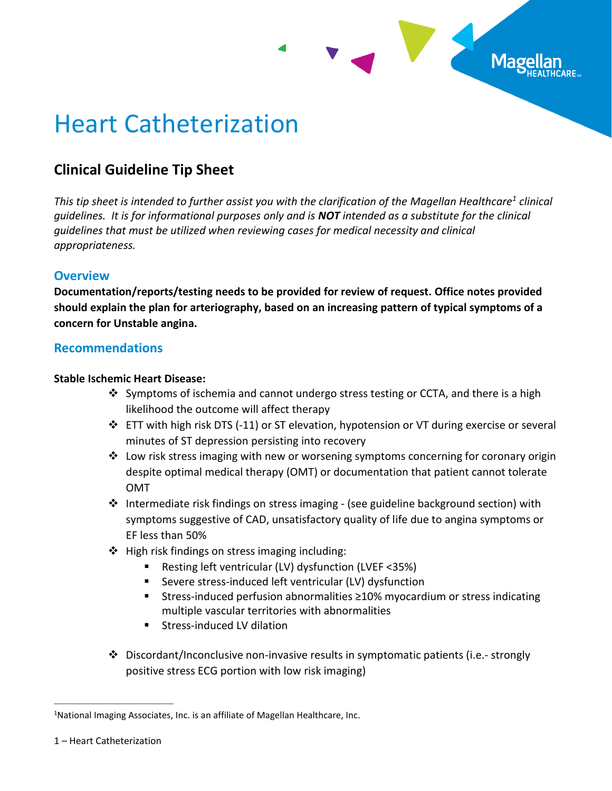

# Heart Catheterization

# **Clinical Guideline Tip Sheet**

*This tip sheet is intended to further assist you with the clarification of the Magellan Healthcare<sup>1</sup> clinical guidelines. It is for informational purposes only and is NOT intended as a substitute for the clinical guidelines that must be utilized when reviewing cases for medical necessity and clinical appropriateness.*

# **Overview**

**Documentation/reports/testing needs to be provided for review of request. Office notes provided should explain the plan for arteriography, based on an increasing pattern of typical symptoms of a concern for Unstable angina.**

# **Recommendations**

#### **Stable Ischemic Heart Disease:**

- ❖ Symptoms of ischemia and cannot undergo stress testing or CCTA, and there is a high likelihood the outcome will affect therapy
- ❖ ETT with high risk DTS (-11) or ST elevation, hypotension or VT during exercise or several minutes of ST depression persisting into recovery
- $\dots$  Low risk stress imaging with new or worsening symptoms concerning for coronary origin despite optimal medical therapy (OMT) or documentation that patient cannot tolerate OMT
- $\dots$  Intermediate risk findings on stress imaging (see guideline background section) with symptoms suggestive of CAD, unsatisfactory quality of life due to angina symptoms or EF less than 50%
- $\triangle$  High risk findings on stress imaging including:
	- Resting left ventricular (LV) dysfunction (LVEF <35%)
	- Severe stress-induced left ventricular (LV) dysfunction
	- Stress-induced perfusion abnormalities ≥10% myocardium or stress indicating multiple vascular territories with abnormalities
	- Stress-induced LV dilation
- ❖ Discordant/Inconclusive non-invasive results in symptomatic patients (i.e.- strongly positive stress ECG portion with low risk imaging)

\_\_\_\_\_\_\_\_\_\_\_\_\_\_\_\_\_\_\_\_\_\_\_\_\_\_\_\_\_\_\_\_\_\_\_\_\_

<sup>&</sup>lt;sup>1</sup>National Imaging Associates, Inc. is an affiliate of Magellan Healthcare, Inc.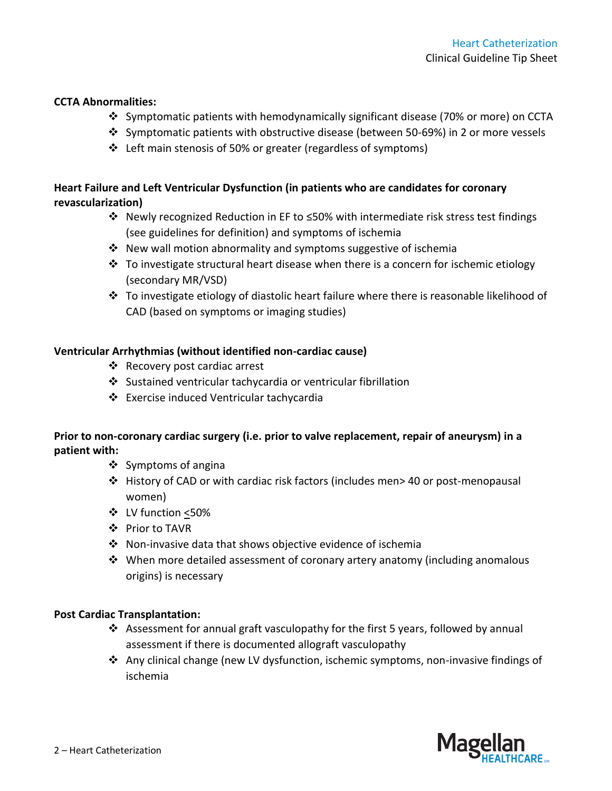#### **CCTA Abnormalities:**

- ❖ Symptomatic patients with hemodynamically significant disease (70% or more) on CCTA
- ❖ Symptomatic patients with obstructive disease (between 50-69%) in 2 or more vessels
- ❖ Left main stenosis of 50% or greater (regardless of symptoms)

## **Heart Failure and Left Ventricular Dysfunction (in patients who are candidates for coronary revascularization)**

- ❖ Newly recognized Reduction in EF to ≤50% with intermediate risk stress test findings (see guidelines for definition) and symptoms of ischemia
- ❖ New wall motion abnormality and symptoms suggestive of ischemia
- $\div$  To investigate structural heart disease when there is a concern for ischemic etiology (secondary MR/VSD)
- ❖ To investigate etiology of diastolic heart failure where there is reasonable likelihood of CAD (based on symptoms or imaging studies)

#### **Ventricular Arrhythmias (without identified non-cardiac cause)**

- ❖ Recovery post cardiac arrest
- ❖ Sustained ventricular tachycardia or ventricular fibrillation
- ❖ Exercise induced Ventricular tachycardia

#### **Prior to non-coronary cardiac surgery (i.e. prior to valve replacement, repair of aneurysm) in a patient with:**

- ❖ Symptoms of angina
- ❖ History of CAD or with cardiac risk factors (includes men> 40 or post-menopausal women)
- ❖ LV function <50%
- ❖ Prior to TAVR
- ❖ Non-invasive data that shows objective evidence of ischemia
- ❖ When more detailed assessment of coronary artery anatomy (including anomalous origins) is necessary

#### **Post Cardiac Transplantation:**

- **❖** Assessment for annual graft vasculopathy for the first 5 years, followed by annual assessment if there is documented allograft vasculopathy
- ❖ Any clinical change (new LV dysfunction, ischemic symptoms, non-invasive findings of ischemia

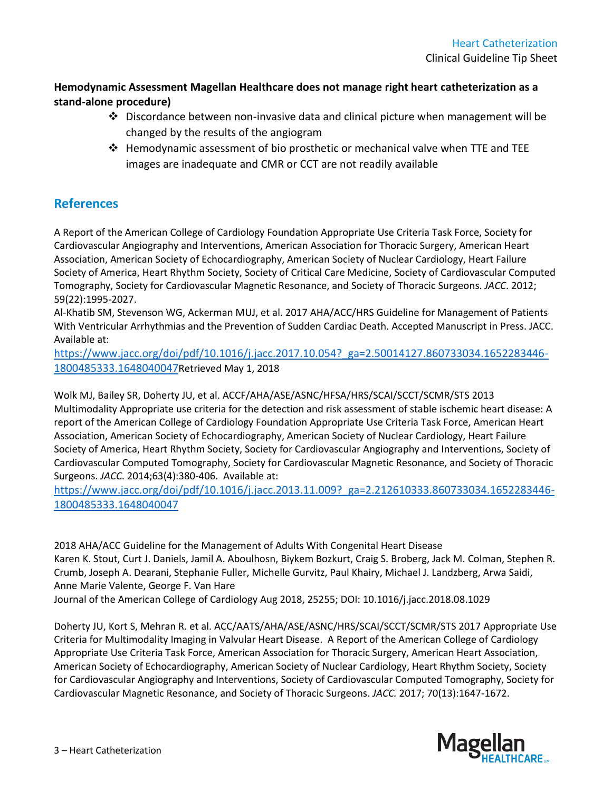## **Hemodynamic Assessment Magellan Healthcare does not manage right heart catheterization as a stand-alone procedure)**

- ◆ Discordance between non-invasive data and clinical picture when management will be changed by the results of the angiogram
- ❖ Hemodynamic assessment of bio prosthetic or mechanical valve when TTE and TEE images are inadequate and CMR or CCT are not readily available

# **References**

A Report of the American College of Cardiology Foundation Appropriate Use Criteria Task Force, Society for Cardiovascular Angiography and Interventions, American Association for Thoracic Surgery, American Heart Association, American Society of Echocardiography, American Society of Nuclear Cardiology, Heart Failure Society of America, Heart Rhythm Society, Society of Critical Care Medicine, Society of Cardiovascular Computed Tomography, Society for Cardiovascular Magnetic Resonance, and Society of Thoracic Surgeons. *JACC*. 2012; 59(22):1995-2027.

Al-Khatib SM, Stevenson WG, Ackerman MUJ, et al. 2017 AHA/ACC/HRS Guideline for Management of Patients With Ventricular Arrhythmias and the Prevention of Sudden Cardiac Death. Accepted Manuscript in Press. JACC. Available at:

[https://www.jacc.org/doi/pdf/10.1016/j.jacc.2017.10.054?\\_ga=2.50014127.860733034.1652283446-](https://urldefense.com/v3/__https:/www.jacc.org/doi/pdf/10.1016/j.jacc.2017.10.054?_ga=2.50014127.860733034.1652283446-1800485333.1648040047__;!!A_Yfr0wlxos!0y9Etc7ihJur572OYzkSZqwzwbcSHXsX5TW3HPh5oZbyKWuDfssAHLK94j5lawHVBOftZCSmudzVkZYltT8NJg$) [1800485333.1648040047](https://urldefense.com/v3/__https:/www.jacc.org/doi/pdf/10.1016/j.jacc.2017.10.054?_ga=2.50014127.860733034.1652283446-1800485333.1648040047__;!!A_Yfr0wlxos!0y9Etc7ihJur572OYzkSZqwzwbcSHXsX5TW3HPh5oZbyKWuDfssAHLK94j5lawHVBOftZCSmudzVkZYltT8NJg$)Retrieved May 1, 2018

Wolk MJ, Bailey SR, Doherty JU, et al. ACCF/AHA/ASE/ASNC/HFSA/HRS/SCAI/SCCT/SCMR/STS 2013 Multimodality Appropriate use criteria for the detection and risk assessment of stable ischemic heart disease: A report of the American College of Cardiology Foundation Appropriate Use Criteria Task Force, American Heart Association, American Society of Echocardiography, American Society of Nuclear Cardiology, Heart Failure Society of America, Heart Rhythm Society, Society for Cardiovascular Angiography and Interventions, Society of Cardiovascular Computed Tomography, Society for Cardiovascular Magnetic Resonance, and Society of Thoracic Surgeons. *JACC*. 2014;63(4):380-406. Available at:

[https://www.jacc.org/doi/pdf/10.1016/j.jacc.2013.11.009?\\_ga=2.212610333.860733034.1652283446-](https://urldefense.com/v3/__https:/www.jacc.org/doi/pdf/10.1016/j.jacc.2013.11.009?_ga=2.212610333.860733034.1652283446-1800485333.1648040047__;!!A_Yfr0wlxos!1quUWDg2EAiv6JyGy45_j3RHWFkq-iDB1RXmqJ_RuqJkYhclQ5Vs_1dwDzgSpIR2pWCPI09YFwsHMM75E2lqGQ$) [1800485333.1648040047](https://urldefense.com/v3/__https:/www.jacc.org/doi/pdf/10.1016/j.jacc.2013.11.009?_ga=2.212610333.860733034.1652283446-1800485333.1648040047__;!!A_Yfr0wlxos!1quUWDg2EAiv6JyGy45_j3RHWFkq-iDB1RXmqJ_RuqJkYhclQ5Vs_1dwDzgSpIR2pWCPI09YFwsHMM75E2lqGQ$)

2018 AHA/ACC Guideline for the Management of Adults With Congenital Heart Disease Karen K. Stout, Curt J. Daniels, Jamil A. Aboulhosn, Biykem Bozkurt, Craig S. Broberg, Jack M. Colman, Stephen R. Crumb, Joseph A. Dearani, Stephanie Fuller, Michelle Gurvitz, Paul Khairy, Michael J. Landzberg, Arwa Saidi, Anne Marie Valente, George F. Van Hare Journal of the American College of Cardiology Aug 2018, 25255; DOI: 10.1016/j.jacc.2018.08.1029

Doherty JU, Kort S, Mehran R. et al. ACC/AATS/AHA/ASE/ASNC/HRS/SCAI/SCCT/SCMR/STS 2017 Appropriate Use Criteria for Multimodality Imaging in Valvular Heart Disease. A Report of the American College of Cardiology Appropriate Use Criteria Task Force, American Association for Thoracic Surgery, American Heart Association, American Society of Echocardiography, American Society of Nuclear Cardiology, Heart Rhythm Society, Society for Cardiovascular Angiography and Interventions, Society of Cardiovascular Computed Tomography, Society for Cardiovascular Magnetic Resonance, and Society of Thoracic Surgeons. *JACC.* 2017; 70(13):1647-1672.